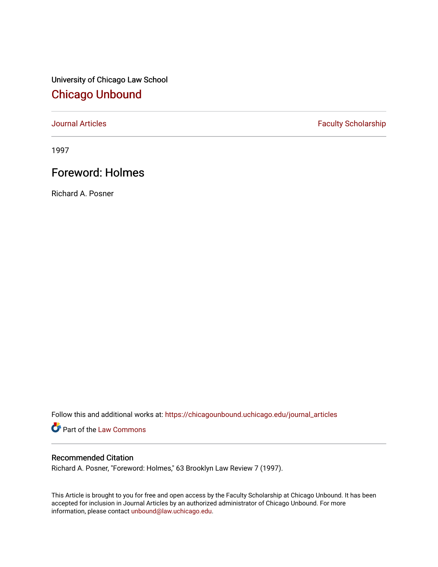University of Chicago Law School [Chicago Unbound](https://chicagounbound.uchicago.edu/)

[Journal Articles](https://chicagounbound.uchicago.edu/journal_articles) **Faculty Scholarship Faculty Scholarship** 

1997

# Foreword: Holmes

Richard A. Posner

Follow this and additional works at: [https://chicagounbound.uchicago.edu/journal\\_articles](https://chicagounbound.uchicago.edu/journal_articles?utm_source=chicagounbound.uchicago.edu%2Fjournal_articles%2F2987&utm_medium=PDF&utm_campaign=PDFCoverPages) 

Part of the [Law Commons](http://network.bepress.com/hgg/discipline/578?utm_source=chicagounbound.uchicago.edu%2Fjournal_articles%2F2987&utm_medium=PDF&utm_campaign=PDFCoverPages)

## Recommended Citation

Richard A. Posner, "Foreword: Holmes," 63 Brooklyn Law Review 7 (1997).

This Article is brought to you for free and open access by the Faculty Scholarship at Chicago Unbound. It has been accepted for inclusion in Journal Articles by an authorized administrator of Chicago Unbound. For more information, please contact [unbound@law.uchicago.edu](mailto:unbound@law.uchicago.edu).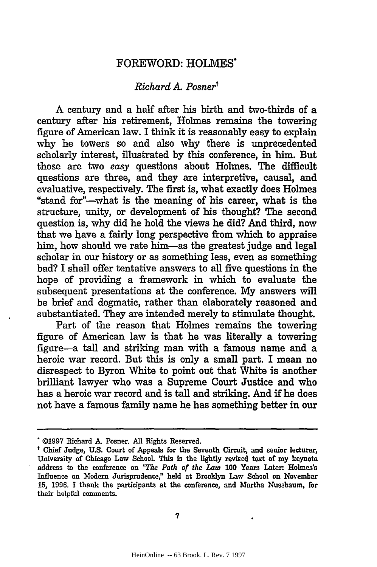### FOREWORD: **HOLMES'**

### *Richard A Posner'*

A century and a half after his birth and two-thirds of a century after his retirement, Holmes remains the towering figure of American law. I think it is reasonably easy to explain why he towers so and also why there is unprecedented scholarly interest, illustrated **by** this conference, in him. But those are two *easy* questions about Holmes. The difficult questions are three, and they are interpretive, causal, and evaluative, respectively. The first is, what exactly does Holmes "stand for"-what is the meaning of his career, what is the structure, unity, or development of his thought? The second question is, why did he hold the views he did? And third, now that we have a fairly long perspective from which to appraise him, how should we rate him-as the greatest judge and legal scholar in our history or as something less, even as something bad? **I** shall offer tentative answers to all five questions in the hope of providing a framework in which to evaluate the subsequent presentations at the conference. **My** answers **will** be brief and dogmatic, rather than elaborately reasoned and substantiated. They are intended merely to stimulate thought.

Part of the reason that Holmes remains the towering figure of American law is that he was literally a towering figure-a tall and striking man with a famous name and a heroic war record. But this is only a small part. I mean no disrespect to Byron White to point out that White is another brilliant lawyer who was a Supreme Court Justice and who has a heroic war record and is tall and striking. And if he does not have a famous family name he has something better in our

**<sup>©1997</sup>** Richard *A.* Posner. **All** Rights Reserved.

Chief Judge, **U.S.** Court of Appeals for the Seventh Circuit, and senior lecturer, University of Chicago Law School This is the lightly revised text of my keynote address to the conference on *"The Path of the Law* **100** Years Later. Holmes's Influence on Modem Jurisprudence," held at Brooklyn Law School on November **15, 1996. I** thank the participants at the conference, and Martha Nussbaum, **for** their helpful comments.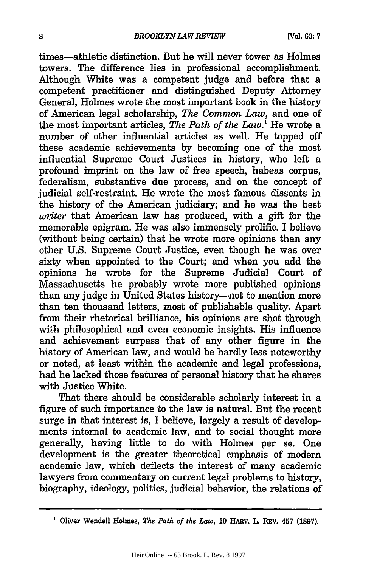times-athletic distinction. But he will never tower as Holmes towers. The difference **lies** in professional accomplishment. Although White was a competent judge and before that a competent practitioner and distinguished Deputy Attorney General, Holmes wrote the most important book in the history of American legal scholarship, *The Common Law,* and one of the most important articles, *The Path of the Law.'* He wrote a number of other influential articles as well. He topped off these academic achievements **by** becoming one of the most influential Supreme Court Justices in history, who left a profound imprint on the law of free speech, habeas corpus, federalism, substantive due process, and on the concept of judicial self-restraint. He wrote the most famous dissents in the history of the American judiciary; and he was the best *writer* that American law has produced, with a gift for the memorable epigram. He was also immensely prolific. I believe (without being certain) that he wrote more opinions than any other **U.S.** Supreme Court Justice, even though he was over sixty when appointed to the Court; and when you add the opinions he wrote for the Supreme Judicial Court of Massachusetts he probably wrote more published opinions than any judge in United States history--not to mention more than ten thousand letters, most of publishable quality. Apart from their rhetorical brilliance, his opinions are shot through with philosophical and even economic insights. His influence and achievement surpass that of any other figure in the history of American law, and would be hardly less noteworthy or noted, at least within the academic and legal professions, had he lacked those features of personal history that he shares with Justice White.

That there should be considerable scholarly interest in a figure of such importance to the law is natural. But the recent surge in that interest is, I believe, largely a result of developments internal to academic law, and to social thought more generally, having little to do with Holmes per se. One development is the greater theoretical emphasis of modern academic law, which deflects the interest of many academic lawyers from commentary on current legal problems to history, biography, ideology, politics, judicial behavior, the relations of

**<sup>1</sup>**Oliver Wendell Holmes, *The Path of the Law,* **10** HARV. L. REV. **457 (1897).**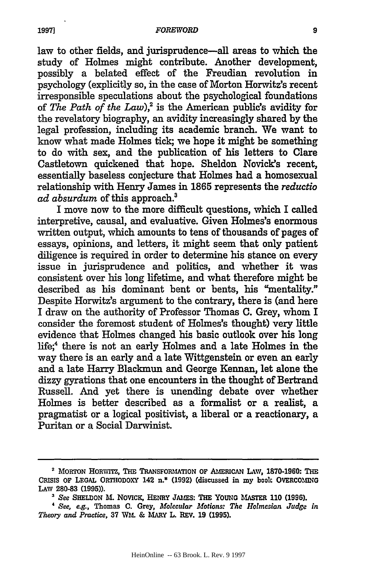law to other fields, and jurisprudence—all areas to which the study of Holmes might contribute. Another development, possibly a belated effect of the Freudian revolution in psychology (explicitly so, in the case of Morton Horwitz's recent irresponsible speculations about the psychological foundations of *The Path of the Law*),<sup>2</sup> is the American public's avidity for the revelatory biography, an avidity increasingly shared by the legal profession, including its academic branch. We want to know what made Holmes tick; we hope it might be something to do with sex, and the publication of his letters to Clare Castletown quickened that hope. Sheldon Novick's recent, essentially baseless conjecture that Holmes had a homosexual relationship with Henry James in **1865** represents the *reductio ad absurdum* of this approach.'

I move now to the more difficult questions, which I called interpretive, causal, and evaluative. Given Holmes's enormous written output, which amounts to tens of thousands of pages of essays, opinions, and letters, it might seem that only patient diligence is required in order to determine his stance on every issue in jurisprudence and politics, and whether it was consistent over his long lifetime, and what therefore might be described as his dominant bent or bents, his "mentality." Despite Horwitz's argument to the contrary, there is (and here I draw on the authority of Professor Thomas **C.** Grey, whom I consider the foremost student of Holmes's thought) very little evidence that Holmes changed his basic outlook over his long life;<sup>4</sup> there is not an early Holmes and a late Holmes in the way there is an early and a late Wittgenstein or even an early and a late Harry Blackmun and George Kennan, let alone the dizzy gyrations that one encounters in the thought of Bertrand Russell. And yet there is unending debate over whether Holmes is better described as a formalist or a realist, a pragmatist or a logical positivist, a liberal or a reactionary, a Puritan or a Social Darwinist.

<sup>&</sup>lt;sup>2</sup> MORTON HORWITZ, THE TRANSFORMATION OF AMERICAN LAW, 1870-1960: THE **CRISIS OF LEGAL ORTHODOXY 142 n.\* (1992)** (discussed in my book **OVERCOMING LAW 280-83 (1995)).**

*<sup>3</sup> See* **SHELDON M. NovicK, HENRY JAMES: THE YOUNG MASTER 110 (1996).**

*<sup>&#</sup>x27; See, e.g.,* Thomas **C.** Grey, *Molecular Motions: The Holmesion Judge in Theory and Practice,* **37 WM. & MARY L. REV. 19 (1995).**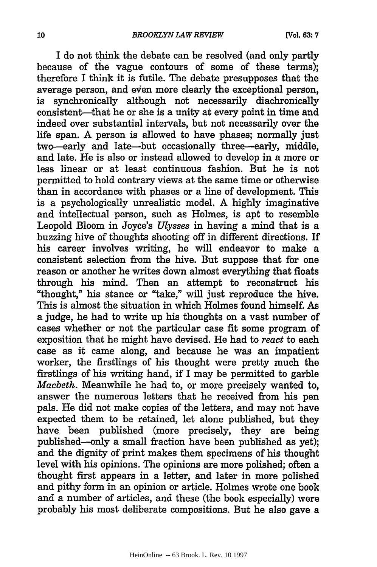I do not think the debate can be resolved (and only partly because of the vague contours of some of these terms); therefore I think it is futile. The debate presupposes that the average person, and even more clearly the exceptional person, is synchronically although not necessarily diachronically consistent-that he or she is a unity at every point in time and indeed over substantial intervals, but not necessarily over the life span. A person is allowed to have phases; normally just two-early and late-but occasionally three-early, middle, and late. He is also or instead allowed to develop in a more or less linear or at least continuous fashion. But he is not permitted to hold contrary views at the same time or otherwise than in accordance with phases or a line of development. This is a psychologically unrealistic model. A highly imaginative and intellectual person, such as Holmes, is apt to resemble Leopold Bloom in Joyce's *Ulysses* in having a mind that is a buzzing hive of thoughts shooting off in different directions. If his career involves writing, he will endeavor to make a consistent selection from the hive. But suppose that for one reason or another he writes down almost everything that floats through his mind. Then an attempt to reconstruct his "thought," his stance or "take," will just reproduce the hive. This is almost the situation in which Holmes found himself. As a judge, he had to write up his thoughts on a vast number of cases whether or not the particular case fit some program of exposition that he might have devised. He had to *react* to each case as it came along, and because he was an impatient worker, the firstlings of his thought were pretty much the firstlings of his writing hand, if I may be permitted to garble *Macbeth.* Meanwhile he had to, or more precisely wanted to, answer the numerous letters that he received from his pen pals. He did not make copies of the letters, and may not have expected them to be retained, let alone published, but they have been published (more precisely, they are being published-only a small fraction have been published as yet); and the dignity of print makes them specimens of his thought level with his opinions. The opinions are more polished; often a thought first appears in a letter, and later in more polished and pithy form in an opinion or article. Holmes wrote one book and a number of articles, and these (the book especially) were probably his most deliberate compositions. But he also gave a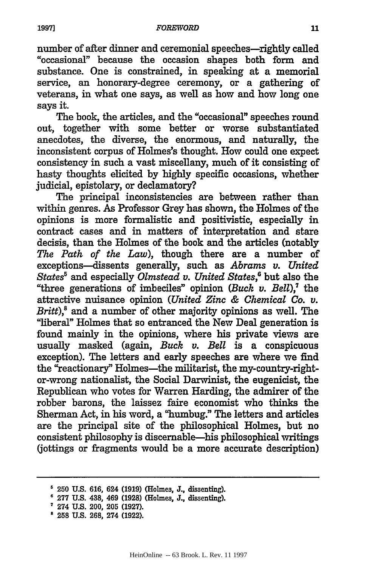number of after dinner and ceremonial speeches—rightly called "occasional" because the occasion shapes both form and substance. One is constrained, in speaking at a memorial service, an honorary-degree ceremony, or a gathering of veterans, in what one says, as well as how and how long one says it.

The book, the articles, and the "occasional" speeches round out, together with some better or worse substantiated anecdotes, the diverse, the enormous, and naturally, the inconsistent corpus of Holmes's thought. How could one expect consistency in such a vast miscellany, much of it consisting of hasty thoughts elicited **by highly** specific occasions, whether judicial, epistolary, or declamatory?

The principal inconsistencies are between rather than within genres. As Professor Grey has shown, the Holmes of the opinions is more formalistic and positivistic, especially in contract cases and in matters of interpretation and stare decisis, than the Holmes of the book and the articles (notably *The Path of the Law),* though there are a number of exceptions-dissents generally, such as *Abrams v. United States5* and especially *Olmstead v. United States,'* but also the "three generations of imbeciles" opinion *(Buck v. Bell),'* the attractive nuisance opinion *(United Zinc & Chemical Co. v. Britt),8* and a number of other majority opinions as well. The "liberal" Holmes that so entranced the New Deal generation is found mainly in the opinions, where his private views are usually masked (again, *Buck v. Bell* is a conspicuous exception). The letters and early speeches are where we find the "reactionary" Holmes-the militarist, the my-country-rightor-wrong nationalist, the Social Darwinist, the eugenicist, the Republican who votes for Warren Harding, the admirer of the robber barons, the laissez faire economist who thinks the Sherman Act, in his word, a "humbug." The letters and articles are the principal site of the philosophical Holmes, but no consistent philosophy is discernable-his philosophical writings (jottings or fragments would be a more accurate description)

**<sup>250</sup> U.S. 616, 624 (1919) (Holmes, J., dissenting).**

<sup>6</sup>**277 U.S. 438, 469 (1928) (Holmes, J., dissenting).**

**<sup>274</sup> U.S. 200, 205 (1927).** <sup>s</sup>**258 U.S. 268, 274 (1922).**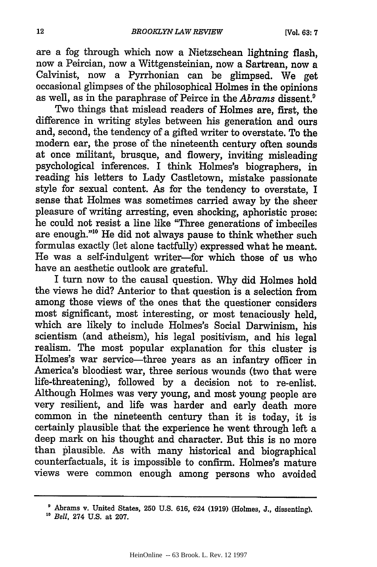are a fog through which now a Nietzschean lightning flash, now a Peircian, now a Wittgensteinian, now a Sartrean, now a Calvinist, now a Pyrrhonian can be glimpsed. We get occasional glimpses of the philosophical Holmes in the opinions as well, as in the paraphrase of Peirce in the *Abrams* dissent.9

Two things that mislead readers of Holmes are, first, the difference in writing styles between his generation and ours and, second, the tendency of a gifted writer to overstate. To the modern ear, the prose of the nineteenth century often sounds at once militant, brusque, and flowery, inviting misleading psychological inferences. I think Holmes's biographers, in reading his letters to Lady Castletown, mistake passionate style for sexual content. As for the tendency to overstate, I sense that Holmes was sometimes carried away by the sheer pleasure of writing arresting, even shocking, aphoristic prose: he could not resist a line like "Three generations of imbeciles are enough."'0 He did not always pause to think whether such formulas exactly (let alone tactfully) expressed what he meant. He was a self-indulgent writer-for which those of us who have an aesthetic outlook are grateful.

I turn now to the causal question. Why did Holmes hold the views he did? Anterior to that question is a selection from among those views of the ones that the questioner considers most significant, most interesting, or most tenaciously held, which are likely to include Holmes's Social Darwinism, his scientism (and atheism), his legal positivism, and his legal realism. The most popular explanation for this cluster is Holmes's war service-three years as an infantry officer in America's bloodiest war, three serious wounds (two that were life-threatening), followed by a decision not to re-enlist. Although Holmes was very young, and most young people are very resilient, and life was harder and early death more common in the nineteenth century than it is today, it is certainly plausible that the experience he went through left a deep mark on his thought and character. But this is no more than plausible. As with many historical and biographical counterfactuals, it is impossible to confirm. Holmes's mature views were common enough among persons who avoided

Abrams v. United States, **250 U.S. 616,** 624 **(1919)** (Holmes, **J.,** dissenting). *1o Bell,* 274 U.S. at 207.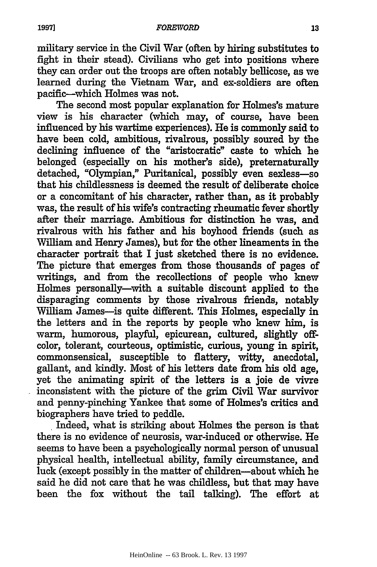military service in the Civil War (often **by** hiring substitutes to fight in their stead). Civilians who get into positions where they can order out the troops are often notably bellicose, as we learned during the Vietnam War, and ex-soldiers are often pacific-which Holmes was not.

The second most popular explanation for Holmes's mature view is his character (which may, of course, have been influenced **by** his wartime experiences). He is commonly said to have been cold, ambitious, rivalrous, possibly soured **by** the declining influence of the "aristocratic" caste to which he belonged (especially on his mother's side), preternaturally detached, "Olympian," Puritanical, possibly even sexless-so that his childlessness is deemed the result of deliberate choice or a concomitant of his character, rather than, as it probably was, the result of his wife's contracting rheumatic fever shortly after their marriage. Ambitious for distinction he was, and rivalrous with his father and his boyhood friends (such as William and Henry James), but for the other lineaments in the character portrait that I just sketched there is no evidence. The picture that emerges from those thousands of pages of writings, and from the recollections of people who knew Holmes personally-with a suitable discount applied to the disparaging comments **by** those rivalrous friends, notably William James-is quite different. This Holmes, especially in the letters and in the reports **by** people who knew him, is warm, humorous, playful, epicurean, cultured, slightly offcolor, tolerant, courteous, optimistic, curious, young in spirit, commonsensical, susceptible to flattery, witty, anecdotal, gallant, and kindly. Most of his letters date from his old age, yet the animating spirit of the letters is a joie de vivre inconsistent with the picture of the grim Civil War survivor and penny-pinching Yankee that some of Holmes's critics and biographers have tried to peddle.

Indeed, what is striking about Holmes the person is that there is no evidence of neurosis, war-induced or otherwise. He seems to have been a psychologically normal person of unusual physical health, intellectual ability, family circumstance, and luck (except possibly in the matter of children-about which he said he did not care that he was childless, but that may have been the fox without the tail talking). The effort at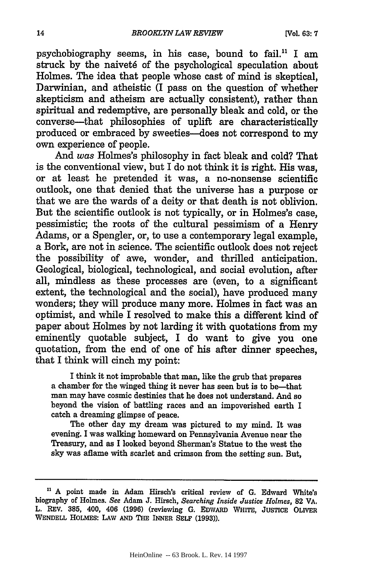psychobiography seems, in his case, bound to fail." I am struck by the naiveté of the psychological speculation about Holmes. The idea that people whose cast of mind is skeptical, Darwinian, and atheistic (I pass on the question of whether skepticism and atheism are actually consistent), rather than spiritual and redemptive, are personally bleak and cold, or the converse-that philosophies of uplift are characteristically produced or embraced **by** sweeties--does not correspond to my own experience of people.

And was Holmes's philosophy in fact bleak and cold? That is the conventional view, but I do not think it is right. His was, or at least he pretended it was, a no-nonsense scientific outlook, one that denied that the universe has a purpose or that we are the wards of a deity or that death is not oblivion. But the scientific outlook is not typically, or in Holmes's case, pessimistic; the roots of the cultural pessimism of a Henry Adams, or a Spengler, or, to use a contemporary legal example, a Bork, are not in science. The scientific outlook does not reject the possibility of awe, wonder, and thrilled anticipation. Geological, biological, technological, and social evolution, after all, mindless as these processes are (even, to a significant extent, the technological and the social), have produced many wonders; they will produce many more. Holmes in fact was an optimist, and while I resolved to make this a different kind of paper about Holmes **by** not larding it with quotations from my eminently quotable subject, I do want to give you one quotation, from the end of one of his after dinner speeches, that I think will cinch my point:

I think it not improbable that man, like the grub that prepares a chamber for the winged thing it never has seen but is to be-that man may have cosmic destinies that he does not understand. And **so** beyond the vision of battling races and an impoverished earth I catch a dreaming glimpse of peace.

The other day my dream was pictured to my mind. It was evening. I was walking homeward on Pennsylvania Avenue near the Treasury, and as I looked beyond Sherman's Statue to the west the sky was aflame with scarlet and crimson from the setting sun. But,

n **A** point made in Adam Hirsch's critical review of **G.** Edward White's biography of Holmes. *See* Adam **J.** Hirsch, *Searching Inside Justice Holmes,* **82 VA.** L. **REV. 385,** 400, 406 **(1996)** (reviewing **G. EDWARD WHITE, JUSTICE OLIVER WENDELL HOLMES: LAW AND THE INNER SELF (1993)).**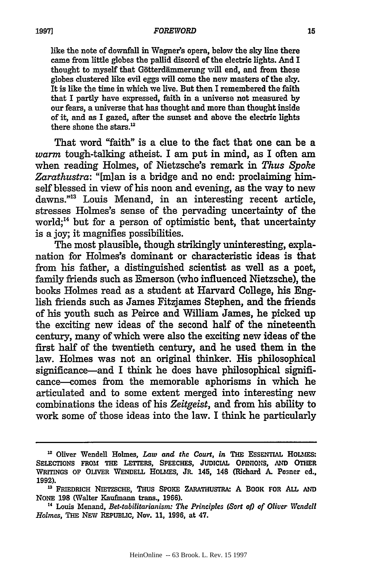#### *FOREWORD*

like the note of downfall in Wagner's opera, below the sky line there came from little globes the pallid discord of the electric lights. And I thought to myself that Götterdämmerung will end, and from those globes clustered like evil eggs will come the new masters of the **sky.** It is like the time in which we live. But then I remembered the faith that I partly have expressed, faith in a universe not measured **by** our fears, a universe that has thought and more than thought inside of it, and as I gazed, after the sunset and above the electric lights there shone the stars.'

That word "faith" is a clue to the fact that one can be a *warm* tough-talking atheist. I am put in mind, as I often am when reading Holmes, of Nietzsche's remark in *Thus Spoke* Zarathustra: "[m]an is a bridge and no end: proclaiming himself blessed in view of his noon and evening, as the way to new dawns.""3 Louis Menand, in an interesting recent article, stresses Holmes's sense of the pervading uncertainty of the world;<sup>14</sup> but for a person of optimistic bent, that uncertainty is a joy; it magnifies possibilities.

The most plausible, though strikingly uninteresting, explanation for Holmes's dominant or characteristic ideas is that from his father, a distinguished scientist as well as a poet, family friends such as Emerson (who influenced Nietzsche), the books Holmes read as a student at Harvard College, his English friends such as James Fitzjames Stephen, and the friends of his youth such as Peirce and William James, he picked up the exciting new ideas of the second half of the nineteenth century, many of which were also the exciting new ideas of the first half of the twentieth century, and he used them in the law. Holmes was not an original thinker. His philosophical significance-and I think he does have philosophical significance-comes from the memorable aphorisms in which he articulated and to some extent merged into interesting new combinations the ideas of his *Zeitgeist,* and from his ability to work some of those ideas into the law. I think he particularly

**<sup>&</sup>quot; Oliver Wendell Holmes,** *Law and the Court, in* **THE ESSENTIAL HOLMES: SELECTIONS FROM THE LETTERS, SPEECHES, JUDICIAL OPINIONS, AND OTHER WRITINGS OF OLIVER WENDELL HOLIES, JR. 145,** 148 (Richard **A.** Posner ed., **1992).**

<sup>&</sup>lt;sup>13</sup> FRIEDRICH NIETZSCHE, THUS SPOKE ZARATHUSTRA: A BOOK FOR ALL AND **NONE 198 (Walter Kaufmann trans., 1966).**

**<sup>&</sup>quot;' Louis Menand,** *Bet-tabilitarianism: The Principles (Sort o) of Oliver Wendell Holmes,* **THE NEW REPUBLIC, Nov. 11, 1996, at 47.**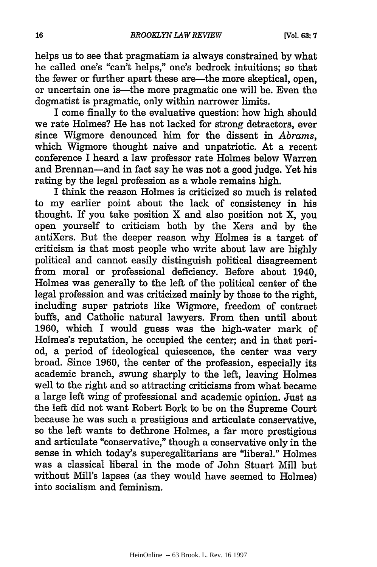helps us to see that pragmatism is always constrained by what he called one's "can't helps," one's bedrock intuitions; so that the fewer or further apart these are—the more skeptical, open, or uncertain one is-the more pragmatic one will be. Even the dogmatist is pragmatic, only within narrower limits.

I come finally to the evaluative question: how high should we rate Holmes? He has not lacked for strong detractors, ever since Wigmore denounced him for the dissent in *Abrams,* which Wigmore thought naive and unpatriotic. At a recent conference I heard a law professor rate Holmes below Warren and Brennan-and in fact say he was not a good judge. Yet his rating by the legal profession as a whole remains high.

I think the reason Holmes is criticized so much is related to my earlier point about the lack of consistency in his thought. If you take position X and also position not X, you open yourself to criticism both **by** the Xers and **by** the antiXers. But the deeper reason why Holmes is a target of criticism is that most people who write about law are **highly** political and cannot easily distinguish political disagreement from moral or professional deficiency. Before about 1940, Holmes was generally to the left of the political center of the legal profession and was criticized mainly by those to the right, including super patriots like Wigmore, freedom of contract buffs, and Catholic natural lawyers. From then until about **1960,** which I would guess was the high-water mark of Holmes's reputation, he occupied the center; and in that period, a period of ideological quiescence, the center was very broad. Since **1960,** the center of the profession, especially its academic branch, swung sharply to the left, leaving Holmes well to the right and so attracting criticisms from what became a large left wing of professional and academic opinion. Just as the left did not want Robert Bork to be on the Supreme Court because he was such a prestigious and articulate conservative, so the left wants to dethrone Holmes, a far more prestigious and articulate "conservative," though a conservative only in the sense in which today's superegalitarians are "liberal." Holmes was a classical liberal in the mode of John Stuart Mill but without Mill's lapses (as they would have seemed to Holmes) into socialism and feminism.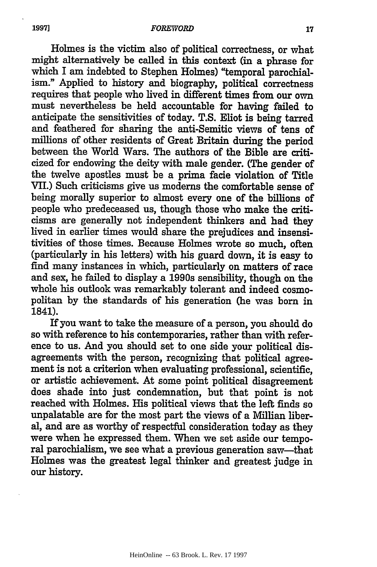Holmes is the victim also of political correctness, or what might alternatively be called in this context (in a phrase for which I am indebted to Stephen Holmes) "temporal parochialism." Applied to history and biography, political correctness requires that people who lived in different times from our own must nevertheless be held accountable for having failed to anticipate the sensitivities of today. T.S. Eliot is being tarred and feathered for sharing the anti-Semitic views of tens of millions of other residents of Great Britain during the period between the World Wars. The authors of the Bible are criticized for endowing the deity with male gender. (The gender of the twelve apostles must be a prima facie violation of Title VII.) Such criticisms give us moderns the comfortable sense of being morally superior to almost every one of the billions of people who predeceased us, though those who make the criticisms are generally not independent thinkers and had they lived in earlier times would share the prejudices and insensitivities of those times. Because Holmes wrote so much, often (particularly in his letters) with his guard down, it is easy to find many instances in which, particularly on matters of race and sex, he failed to display a 1990s sensibility, though on the whole his outlook was remarkably tolerant and indeed cosmopolitan by the standards of his generation (he was born in 1841).

**If** you want to take the measure of a person, you should do so with reference to his contemporaries, rather than with reference to us. And you should set to one side your political disagreements with the person, recognizing that political agreement is not a criterion when evaluating professional, scientific, or artistic achievement. At some point political disagreement does shade into just condemnation, but that point is not reached with Holmes. His political views that the left finds so unpalatable are for the most part the views of a Millian liberal, and are as worthy of respectful consideration today as they were when he expressed them. When we set aside our temporal parochialism, we see what a previous generation saw-that Holmes was the greatest legal thinker and greatest judge in our history.